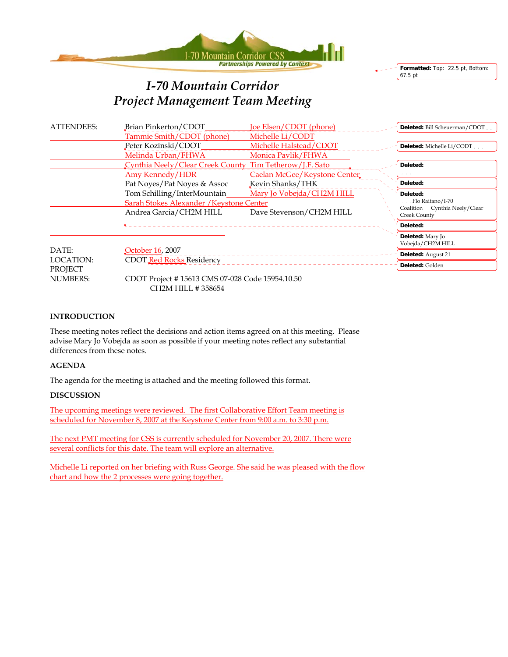



# *I-70 Mountain Corridor Project Management Team Meeting*

| <b>ATTENDEES:</b> | Brian Pinkerton/CDOT                                    | Joe Elsen/CDOT (phone)       | Deleted: Bill Scheuerman/CDOT.                |
|-------------------|---------------------------------------------------------|------------------------------|-----------------------------------------------|
|                   | Tammie Smith/CDOT (phone)                               | Michelle Li/CODT             |                                               |
|                   | Peter Kozinski/CDOT                                     | Michelle Halstead/CDOT       | Deleted: Michelle Li/CODT                     |
|                   | Melinda Urban/FHWA                                      | Monica Pavlik/FHWA           |                                               |
|                   | Cynthia Neely/Clear Creek County Tim Tetherow/J.F. Sato |                              | Deleted:                                      |
|                   | Amy Kennedy/HDR                                         | Caelan McGee/Keystone Center |                                               |
|                   | Pat Noyes/Pat Noyes & Assoc                             | Kevin Shanks/THK             | Deleted:                                      |
|                   | Tom Schilling/InterMountain                             | Mary Jo Vobejda/CH2M HILL    | Deleted:                                      |
|                   | Sarah Stokes Alexander / Keystone Center                |                              | Flo Raitano/I-70                              |
|                   | Andrea Garcia/CH2M HILL                                 | Dave Stevenson/CH2M HILL     | Coalition Cynthia Neely/Clear<br>Creek County |
|                   |                                                         |                              | Deleted:                                      |
|                   |                                                         |                              | Deleted: Mary Jo<br>Vobejda/CH2M HILL         |
| DATE:             | October 16, 2007                                        |                              | Deleted: August 21                            |
| LOCATION:         | <b>CDOT Red Rocks Residency</b>                         |                              | Deleted: Golden                               |
| PROJECT           |                                                         |                              |                                               |
| <b>NUMBERS:</b>   | CDOT Project #15613 CMS 07-028 Code 15954.10.50         |                              |                                               |

#### **INTRODUCTION**

These meeting notes reflect the decisions and action items agreed on at this meeting. Please advise Mary Jo Vobejda as soon as possible if your meeting notes reflect any substantial differences from these notes.

#### **AGENDA**

The agenda for the meeting is attached and the meeting followed this format.

CH2M HILL # 358654

#### **DISCUSSION**

The upcoming meetings were reviewed. The first Collaborative Effort Team meeting is scheduled for November 8, 2007 at the Keystone Center from 9:00 a.m. to 3:30 p.m.

The next PMT meeting for CSS is currently scheduled for November 20, 2007. There were several conflicts for this date. The team will explore an alternative.

Michelle Li reported on her briefing with Russ George. She said he was pleased with the flow chart and how the 2 processes were going together.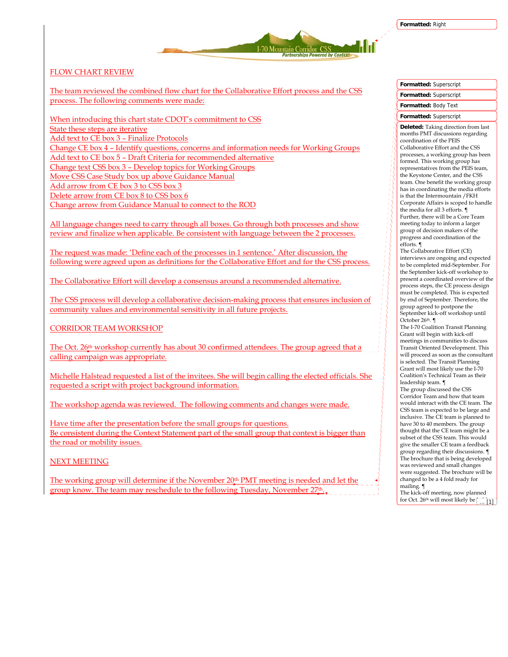I-70 Mountain Corridor CSS

## FLOW CHART REVIEW

The team reviewed the combined flow chart for the Collaborative Effort process and the CSS process. The following comments were made:

When introducing this chart state CDOT's commitment to CSS State these steps are iterative Add text to CE box 3 – Finalize Protocols Change CE box 4 – Identify questions, concerns and information needs for Working Groups Add text to CE box 5 – Draft Criteria for recommended alternative Change text CSS box 3 – Develop topics for Working Groups Move CSS Case Study box up above Guidance Manual Add arrow from CE box 3 to CSS box 3 Delete arrow from CE box 8 to CSS box 6 Change arrow from Guidance Manual to connect to the ROD

All language changes need to carry through all boxes. Go through both processes and show review and finalize when applicable. Be consistent with language between the 2 processes.

The request was made: 'Define each of the processes in 1 sentence.' After discussion, the following were agreed upon as definitions for the Collaborative Effort and for the CSS process.

The Collaborative Effort will develop a consensus around a recommended alternative.

The CSS process will develop a collaborative decision-making process that ensures inclusion of community values and environmental sensitivity in all future projects.

CORRIDOR TEAM WORKSHOP

The Oct. 26<sup>th</sup> workshop currently has about 30 confirmed attendees. The group agreed that a calling campaign was appropriate.

Michelle Halstead requested a list of the invitees. She will begin calling the elected officials. She requested a script with project background information.

The workshop agenda was reviewed. The following comments and changes were made.

Have time after the presentation before the small groups for questions. Be consistent during the Context Statement part of the small group that context is bigger than the road or mobility issues.

NEXT MEETING

The working group will determine if the November 20th PMT meeting is needed and let the group know. The team may reschedule to the following Tuesday, November  $27<sup>th</sup>$ .

## **Formatted:** Superscript **Formatted:** Superscript

# **Formatted:** Body Text

## **Formatted:** Superscript

**Deleted:** Taking direction from last months PMT discussions regarding coordination of the PEIS Collaborative Effort and the CSS processes, a working group has been formed. This working group has representatives from the PEIS team, the Keystone Center, and the CSS team. One benefit the working group has in coordinating the media efforts is that the Intermountain /FKH Corporate Affairs is scoped to handle the media for all 3 efforts. ¶ Further, there will be a Core Team meeting today to inform a larger group of decision makers of the progress and coordination of the efforts. ¶

The Collaborative Effort (CE) interviews are ongoing and expected to be completed mid-September. For the September kick-off workshop to present a coordinated overview of the process steps, the CE process design must be completed. This is expected by end of September. Therefore, the group agreed to postpone the September kick-off workshop until October 26th. ¶

The I-70 Coalition Transit Planning Grant will begin with kick-off meetings in communities to discuss Transit Oriented Development. This will proceed as soon as the consultant is selected. The Transit Planning Grant will most likely use the I-70 Coalition's Technical Team as their leadership team. ¶ The group discussed the CSS

Corridor Team and how that team would interact with the CE team. The CSS team is expected to be large and inclusive. The CE team is planned to have 30 to 40 members. The group thought that the CE team might be a subset of the CSS team. This would give the smaller CE team a feedback group regarding their discussions. ¶ The brochure that is being developed was reviewed and small changes were suggested. The brochure will be changed to be a 4 fold ready for mailing. ¶

The kick-off meeting, now planned for Oct. 26<sup>th</sup> will most likely be  $\frac{1}{11}$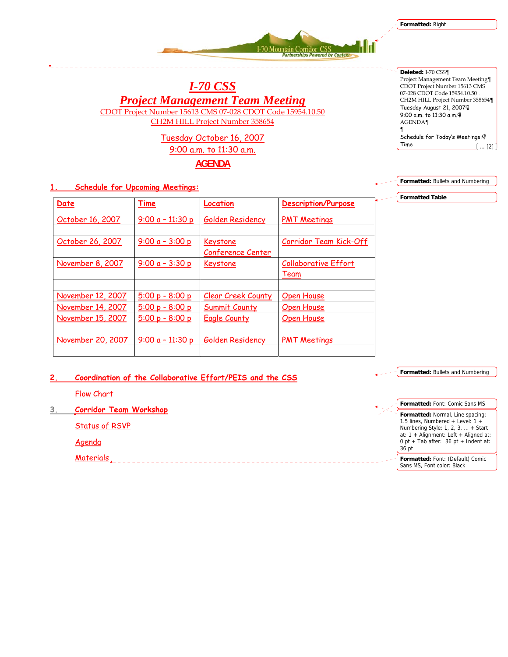**Formatted:** Right



*I-70 CSS Project Management Team Meeting* CDOT Project Number 15613 CMS 07-028 CDOT Code 15954.10.50 CH2M HILL Project Number 358654

# Tuesday October 16, 2007 9:00 a.m. to 11:30 a.m. **AGENDA**

**Deleted:** I-70 CSS¶ Project Management Team Meeting¶ CDOT Project Number 15613 CMS 07-028 CDOT Code 15954.10.50 CH2M HILL Project Number 358654¶ Tuesday August 21, 2007¶ 9:00 a.m. to 11:30 a.m.¶ AGENDA¶ ¶ Schedule for Today's Meetings:¶ Time  $\begin{array}{|c|c|c|}\n\hline\n\text{...} & \text{2}\n\end{array}$ 

**Formatted:** Bullets and Numbering

**Formatted Table**

**1. Schedule for Upcoming Meetings:**

| Date                                   | Time                                   | Location                             | <b>Description/Purpose</b>                 |
|----------------------------------------|----------------------------------------|--------------------------------------|--------------------------------------------|
| October 16, 2007                       | $9:00a - 11:30p$                       | Golden Residency                     | <b>PMT Meetings</b>                        |
| October 26, 2007                       | $9:00a - 3:00p$                        | Keystone<br>Conference Center        | Corridor Team Kick-Off                     |
| November 8, 2007                       | $9:00a - 3:30p$                        | Keystone                             | <b>Collaborative Effort</b><br><b>Team</b> |
| November 12, 2007                      | $5:00 p - 8:00 p$                      | <b>Clear Creek County</b>            | Open House                                 |
| November 14, 2007<br>November 15, 2007 | $5:00 p - 8:00 p$<br>$5:00 p - 8:00 p$ | <b>Summit County</b><br>Eagle County | Open House<br><b>Open House</b>            |
|                                        |                                        |                                      |                                            |
| November 20, 2007                      | 9:00 $a - 11:30 p$                     | Golden Residency                     | <b>PMT Meetings</b>                        |

**2. Coordination of the Collaborative Effort/PEIS and the CSS**

**Formatted:** Bullets and Numbering

Flow Chart

**3. Corridor Team Workshop** 

Status of RSVP

Agenda

Materials  **Formatted:** Font: Comic Sans MS **Formatted:** Normal, Line spacing: 1.5 lines, Numbered + Level: 1 + Numbering Style: 1, 2, 3, … + Start at: 1 + Alignment: Left + Aligned at: 0 pt + Tab after: 36 pt + Indent at: 36 pt **Formatted:** Font: (Default) Comic

Sans MS, Font color: Black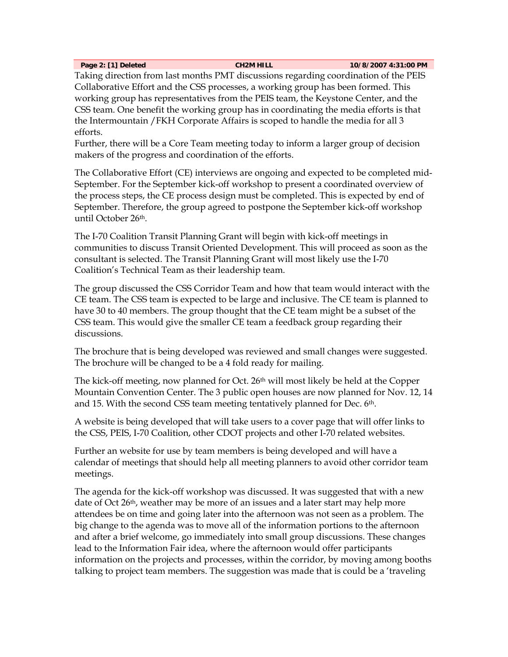**Page 2: [1] Deleted CH2M HILL 10/8/2007 4:31:00 PM** 

Taking direction from last months PMT discussions regarding coordination of the PEIS Collaborative Effort and the CSS processes, a working group has been formed. This working group has representatives from the PEIS team, the Keystone Center, and the CSS team. One benefit the working group has in coordinating the media efforts is that the Intermountain /FKH Corporate Affairs is scoped to handle the media for all 3 efforts.

Further, there will be a Core Team meeting today to inform a larger group of decision makers of the progress and coordination of the efforts.

The Collaborative Effort (CE) interviews are ongoing and expected to be completed mid-September. For the September kick-off workshop to present a coordinated overview of the process steps, the CE process design must be completed. This is expected by end of September. Therefore, the group agreed to postpone the September kick-off workshop until October 26th.

The I-70 Coalition Transit Planning Grant will begin with kick-off meetings in communities to discuss Transit Oriented Development. This will proceed as soon as the consultant is selected. The Transit Planning Grant will most likely use the I-70 Coalition's Technical Team as their leadership team.

The group discussed the CSS Corridor Team and how that team would interact with the CE team. The CSS team is expected to be large and inclusive. The CE team is planned to have 30 to 40 members. The group thought that the CE team might be a subset of the CSS team. This would give the smaller CE team a feedback group regarding their discussions.

The brochure that is being developed was reviewed and small changes were suggested. The brochure will be changed to be a 4 fold ready for mailing.

The kick-off meeting, now planned for Oct. 26th will most likely be held at the Copper Mountain Convention Center. The 3 public open houses are now planned for Nov. 12, 14 and 15. With the second CSS team meeting tentatively planned for Dec. 6th.

A website is being developed that will take users to a cover page that will offer links to the CSS, PEIS, I-70 Coalition, other CDOT projects and other I-70 related websites.

Further an website for use by team members is being developed and will have a calendar of meetings that should help all meeting planners to avoid other corridor team meetings.

The agenda for the kick-off workshop was discussed. It was suggested that with a new date of Oct 26th, weather may be more of an issues and a later start may help more attendees be on time and going later into the afternoon was not seen as a problem. The big change to the agenda was to move all of the information portions to the afternoon and after a brief welcome, go immediately into small group discussions. These changes lead to the Information Fair idea, where the afternoon would offer participants information on the projects and processes, within the corridor, by moving among booths talking to project team members. The suggestion was made that is could be a 'traveling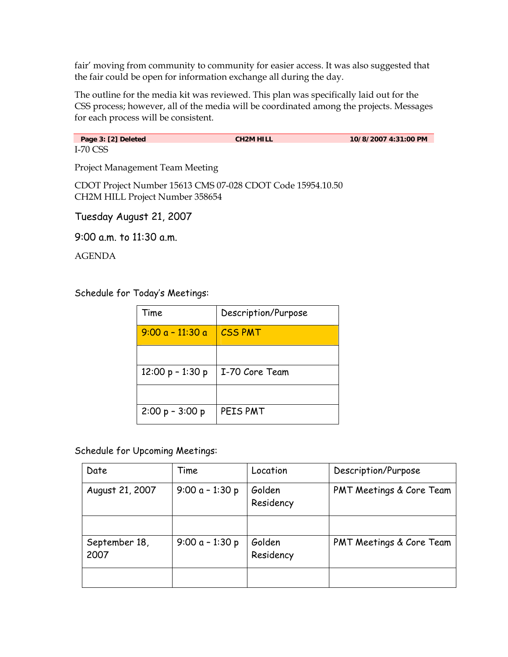fair' moving from community to community for easier access. It was also suggested that the fair could be open for information exchange all during the day.

The outline for the media kit was reviewed. This plan was specifically laid out for the CSS process; however, all of the media will be coordinated among the projects. Messages for each process will be consistent.

Page 3: [2] Deleted **CH2M HILL 10/8/2007 4:31:00 PM** I-70 CSS

Project Management Team Meeting

CDOT Project Number 15613 CMS 07-028 CDOT Code 15954.10.50 CH2M HILL Project Number 358654

Tuesday August 21, 2007

9:00 a.m. to 11:30 a.m.

AGENDA

Schedule for Today's Meetings:

| Time               | Description/Purpose |
|--------------------|---------------------|
| $9:00a - 11:30a$   | <b>CSS PMT</b>      |
|                    |                     |
| $12:00 p - 1:30 p$ | I-70 Core Team      |
|                    |                     |
| $2:00 p - 3:00 p$  | PEIS PMT            |

Schedule for Upcoming Meetings:

| Date                  | Time              | Location            | Description/Purpose      |
|-----------------------|-------------------|---------------------|--------------------------|
| August 21, 2007       | 9:00 $a - 1:30 p$ | Golden<br>Residency | PMT Meetings & Core Team |
|                       |                   |                     |                          |
| September 18,<br>2007 | 9:00 $a - 1:30 p$ | Golden<br>Residency | PMT Meetings & Core Team |
|                       |                   |                     |                          |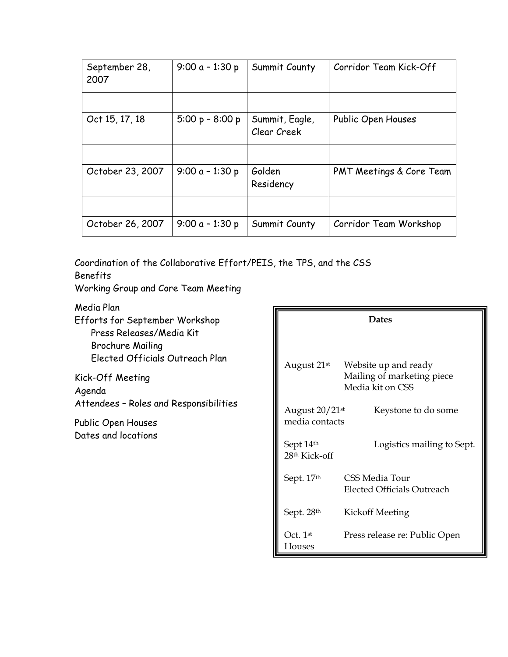| September 28,<br>2007 | $9:00a - 1:30p$   | Summit County                 | Corridor Team Kick-Off   |
|-----------------------|-------------------|-------------------------------|--------------------------|
|                       |                   |                               |                          |
| Oct 15, 17, 18        | $5:00 p - 8:00 p$ | Summit, Eagle,<br>Clear Creek | Public Open Houses       |
|                       |                   |                               |                          |
| October 23, 2007      | $9:00a - 1:30p$   | Golden<br>Residency           | PMT Meetings & Core Team |
|                       |                   |                               |                          |
| October 26, 2007      | $9:00a - 1:30p$   | Summit County                 | Corridor Team Workshop   |

Coordination of the Collaborative Effort/PEIS, the TPS, and the CSS Benefits

Working Group and Core Team Meeting

Media Plan Efforts for September Workshop Press Releases/Media Kit Brochure Mailing Elected Officials Outreach Plan

Kick-Off Meeting Agenda Attendees – Roles and Responsibilities

Public Open Houses Dates and locations

| <b>Dates</b>                                            |                                                                        |  |
|---------------------------------------------------------|------------------------------------------------------------------------|--|
| August 21st                                             | Website up and ready<br>Mailing of marketing piece<br>Media kit on CSS |  |
| August 20/21st<br>Keystone to do some<br>media contacts |                                                                        |  |
| Sept 14th<br>28th Kick-off                              | Logistics mailing to Sept.                                             |  |
| Sept. 17th                                              | <b>CSS Media Tour</b><br><b>Elected Officials Outreach</b>             |  |
| Sept. 28th                                              | Kickoff Meeting                                                        |  |
| Oct. $1^{\rm st}$<br>Houses                             | Press release re: Public Open                                          |  |